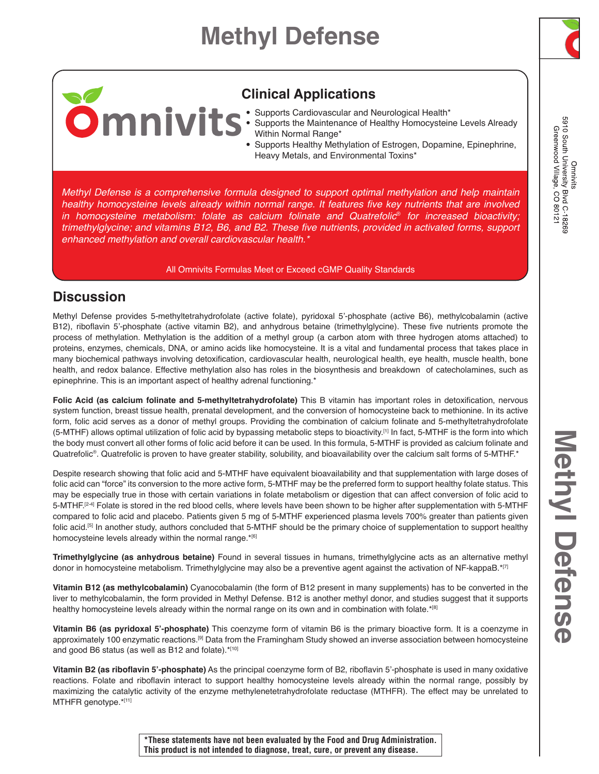# **Methyl Defense**



5910 South University Blvd C-18269<br>Greenwood Village, CO 80121 Omnivits

# **Clinical Applications**

- Supports Cardiovascular and Neurological Health\*
- Supports the Maintenance of Healthy Homocysteine Levels Already Within Normal Range\*
- Supports Healthy Methylation of Estrogen, Dopamine, Epinephrine, Heavy Metals, and Environmental Toxins\*

*Methyl Defense is a comprehensive formula designed to support optimal methylation and help maintain*  healthy homocysteine levels already within normal range. It features five key nutrients that are involved *in homocysteine metabolism: folate as calcium folinate and Quatrefolic*® *for increased bioactivity;*  trimethylglycine; and vitamins B12, B6, and B2. These five nutrients, provided in activated forms, support *enhanced methylation and overall cardiovascular health.\**

#### All Omnivits Formulas Meet or Exceed cGMP Quality Standards

# **Discussion**

Methyl Defense provides 5-methyltetrahydrofolate (active folate), pyridoxal 5'-phosphate (active B6), methylcobalamin (active B12), riboflavin 5'-phosphate (active vitamin B2), and anhydrous betaine (trimethylglycine). These five nutrients promote the process of methylation. Methylation is the addition of a methyl group (a carbon atom with three hydrogen atoms attached) to proteins, enzymes, chemicals, DNA, or amino acids like homocysteine. It is a vital and fundamental process that takes place in many biochemical pathways involving detoxification, cardiovascular health, neurological health, eye health, muscle health, bone health, and redox balance. Effective methylation also has roles in the biosynthesis and breakdown of catecholamines, such as epinephrine. This is an important aspect of healthy adrenal functioning.\*

**Folic Acid (as calcium folinate and 5-methyltetrahydrofolate)** This B vitamin has important roles in detoxification, nervous system function, breast tissue health, prenatal development, and the conversion of homocysteine back to methionine. In its active form, folic acid serves as a donor of methyl groups. Providing the combination of calcium folinate and 5-methyltetrahydrofolate (5-MTHF) allows optimal utilization of folic acid by bypassing metabolic steps to bioactivity.[1] In fact, 5-MTHF is the form into which the body must convert all other forms of folic acid before it can be used. In this formula, 5-MTHF is provided as calcium folinate and Quatrefolic®. Quatrefolic is proven to have greater stability, solubility, and bioavailability over the calcium salt forms of 5-MTHF.\*

Despite research showing that folic acid and 5-MTHF have equivalent bioavailability and that supplementation with large doses of folic acid can "force" its conversion to the more active form, 5-MTHF may be the preferred form to support healthy folate status. This may be especially true in those with certain variations in folate metabolism or digestion that can affect conversion of folic acid to 5-MTHF.<sup>[2-4]</sup> Folate is stored in the red blood cells, where levels have been shown to be higher after supplementation with 5-MTHF compared to folic acid and placebo. Patients given 5 mg of 5-MTHF experienced plasma levels 700% greater than patients given folic acid.<sup>[5]</sup> In another study, authors concluded that 5-MTHF should be the primary choice of supplementation to support healthy homocysteine levels already within the normal range.\*[6]

**Trimethylglycine (as anhydrous betaine)** Found in several tissues in humans, trimethylglycine acts as an alternative methyl donor in homocysteine metabolism. Trimethylglycine may also be a preventive agent against the activation of NF-kappaB.\*[7]

**Vitamin B12 (as methylcobalamin)** Cyanocobalamin (the form of B12 present in many supplements) has to be converted in the liver to methylcobalamin, the form provided in Methyl Defense. B12 is another methyl donor, and studies suggest that it supports healthy homocysteine levels already within the normal range on its own and in combination with folate.\*[8]

**Vitamin B6 (as pyridoxal 5'-phosphate)** This coenzyme form of vitamin B6 is the primary bioactive form. It is a coenzyme in approximately 100 enzymatic reactions.[9] Data from the Framingham Study showed an inverse association between homocysteine and good B6 status (as well as B12 and folate).\*[10]

**Vitamin B2 (as riboflavin 5'-phosphate)** As the principal coenzyme form of B2, riboflavin 5'-phosphate is used in many oxidative reactions. Folate and riboflavin interact to support healthy homocysteine levels already within the normal range, possibly by maximizing the catalytic activity of the enzyme methylenetetrahydrofolate reductase (MTHFR). The effect may be unrelated to MTHFR genotype.\*[11]

**\*These statements have not been evaluated by the Food and Drug Administration. This product is not intended to diagnose, treat, cure, or prevent any disease.**